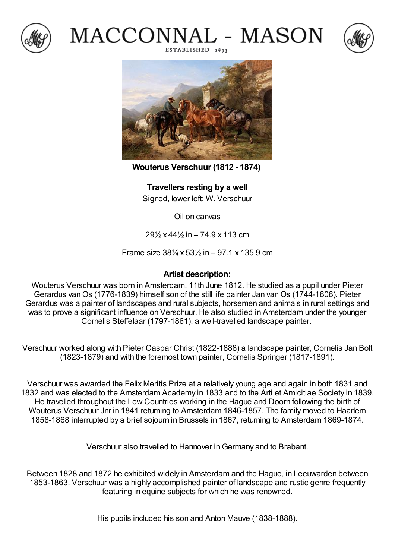







**Wouterus Verschuur (1812 - 1874)**

**Travellers resting by a well** Signed, lower left: W. Verschuur

Oil on canvas

29½ x 44½ in – 74.9 x 113 cm

Frame size 38¼ x 53½ in – 97.1 x 135.9 cm

## **Artist description:**

Wouterus Verschuur was born in Amsterdam, 11th June 1812. He studied as a pupil under Pieter Gerardus van Os (1776-1839) himself son of the still life painter Jan van Os (1744-1808). Pieter Gerardus was a painter of landscapes and rural subjects, horsemen and animals in rural settings and was to prove a significant influence on Verschuur. He also studied in Amsterdam under the younger Cornelis Steffelaar (1797-1861), a well-travelled landscape painter.

Verschuur worked along with Pieter Caspar Christ (1822-1888) a landscape painter, Cornelis Jan Bolt (1823-1879) and with the foremost town painter, Cornelis Springer (1817-1891).

Verschuur was awarded the Felix Meritis Prize at a relatively young age and again in both 1831 and 1832 and was elected to the Amsterdam Academy in 1833 and to the Arti et Amicitiae Society in 1839. He travelled throughout the Low Countries working in the Hague and Doorn following the birth of Wouterus Verschuur Jnr in 1841 returning to Amsterdam 1846-1857. The family moved to Haarlem 1858-1868 interrupted by a brief sojourn in Brussels in 1867, returning to Amsterdam 1869-1874.

Verschuur also travelled to Hannover inGermany and to Brabant.

Between 1828 and 1872 he exhibited widely in Amsterdam and the Hague, in Leeuwarden between 1853-1863. Verschuur was a highly accomplished painter of landscape and rustic genre frequently featuring in equine subjects for which he was renowned.

His pupils included his son and Anton Mauve (1838-1888).